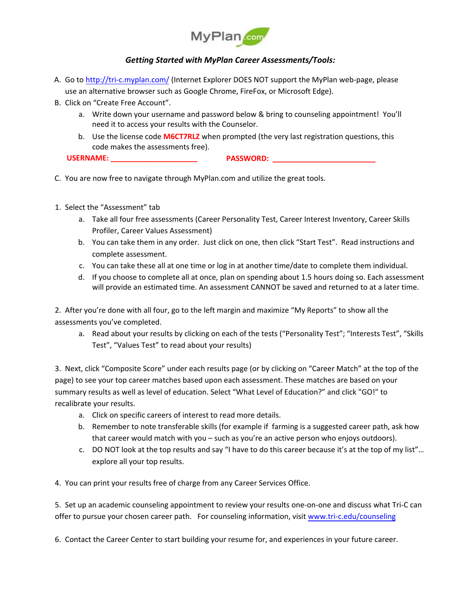

## *Getting Started with MyPlan Career Assessments/Tools:*

- A. Go to <http://tri-c.myplan.com/> (Internet Explorer DOES NOT support the MyPlan web-page, please use an alternative browser such as Google Chrome, FireFox, or Microsoft Edge).
- B. Click on "Create Free Account".
	- a. Write down your username and password below & bring to counseling appointment! You'll need it to access your results with the Counselor.
	- b. Use the license code **M6CT7RLZ** when prompted (the very last registration questions, this code makes the assessments free).

**USERNAME: \_\_\_\_\_\_\_\_\_\_\_\_\_\_\_\_\_\_\_\_\_ PASSWORD: \_\_\_\_\_\_\_\_\_\_\_\_\_\_\_\_\_\_\_\_\_\_\_\_\_** 

- C. You are now free to navigate through MyPlan.com and utilize the great tools.
- 1. Select the "Assessment" tab
	- a. Take all four free assessments (Career Personality Test, Career Interest Inventory, Career Skills Profiler, Career Values Assessment)
	- b. You can take them in any order. Just click on one, then click "Start Test". Read instructions and complete assessment.
	- c. You can take these all at one time or log in at another time/date to complete them individual.
	- d. If you choose to complete all at once, plan on spending about 1.5 hours doing so. Each assessment will provide an estimated time. An assessment CANNOT be saved and returned to at a later time.

2. After you're done with all four, go to the left margin and maximize "My Reports" to show all the assessments you've completed.

a. Read about your results by clicking on each of the tests ("Personality Test"; "Interests Test", "Skills Test", "Values Test" to read about your results)

3. Next, click "Composite Score" under each results page (or by clicking on "Career Match" at the top of the page) to see your top career matches based upon each assessment. These matches are based on your summary results as well as level of education. Select "What Level of Education?" and click "GO!" to recalibrate your results.

- a. Click on specific careers of interest to read more details.
- b. Remember to note transferable skills (for example if farming is a suggested career path, ask how that career would match with you – such as you're an active person who enjoys outdoors).
- c. DO NOT look at the top results and say "I have to do this career because it's at the top of my list"… explore all your top results.

4. You can print your results free of charge from any Career Services Office.

5. Set up an academic counseling appointment to review your results one-on-one and discuss what Tri-C can offer to pursue your chosen career path. For counseling information, visit www.tri-c.edu/counseling

6. Contact the Career Cent[er to start building your resu](http://www.tri-c.edu/counseling)me for, and experiences in your future career.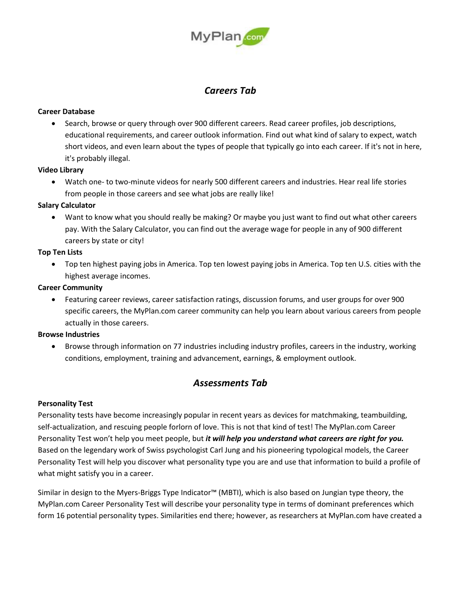

## *Careers Tab*

### **Career Database**

 Search, browse or query through over 900 different careers. Read career profiles, job descriptions, educational requirements, and career outlook information. Find out what kind of salary to expect, watch short videos, and even learn about the types of people that typically go into each career. If it's not in here, it's probably illegal.

## **Video Library**

 Watch one- to two-minute videos for nearly 500 different careers and industries. Hear real life stories from people in those careers and see what jobs are really like!

## **Salary Calculator**

 Want to know what you should really be making? Or maybe you just want to find out what other careers pay. With the Salary Calculator, you can find out the average wage for people in any of 900 different careers by state or city!

## **Top Ten Lists**

 Top ten highest paying jobs in America. Top ten lowest paying jobs in America. Top ten U.S. cities with the highest average incomes.

## **Career Community**

 Featuring career reviews, career satisfaction ratings, discussion forums, and user groups for over 900 specific careers, the MyPlan.com career community can help you learn about various careers from people actually in those careers.

### **Browse Industries**

 Browse through information on 77 industries including industry profiles, careers in the industry, working conditions, employment, training and advancement, earnings, & employment outlook.

## *Assessments Tab*

## **Personality Test**

Personality tests have become increasingly popular in recent years as devices for matchmaking, teambuilding, self-actualization, and rescuing people forlorn of love. This is not that kind of test! The MyPlan.com Career Personality Test won't help you meet people, but *it will help you understand what careers are right for you.* Based on the legendary work of Swiss psychologist Carl Jung and his pioneering typological models, the Career Personality Test will help you discover what personality type you are and use that information to build a profile of what might satisfy you in a career.

Similar in design to the Myers-Briggs Type Indicator™ (MBTI), which is also based on Jungian type theory, the MyPlan.com Career Personality Test will describe your personality type in terms of dominant preferences which form 16 potential personality types. Similarities end there; however, as researchers at MyPlan.com have created a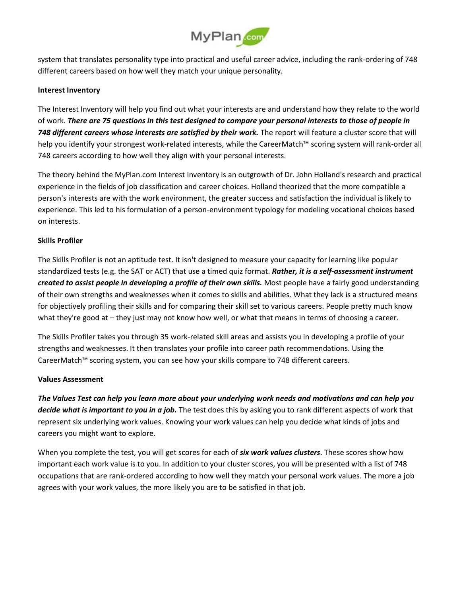

system that translates personality type into practical and useful career advice, including the rank-ordering of 748 different careers based on how well they match your unique personality.

### **Interest Inventory**

The Interest Inventory will help you find out what your interests are and understand how they relate to the world of work. *There are 75 questions in this test designed to compare your personal interests to those of people in 748 different careers whose interests are satisfied by their work.* The report will feature a cluster score that will help you identify your strongest work-related interests, while the CareerMatch™ scoring system will rank-order all 748 careers according to how well they align with your personal interests.

The theory behind the MyPlan.com Interest Inventory is an outgrowth of Dr. John Holland's research and practical experience in the fields of job classification and career choices. Holland theorized that the more compatible a person's interests are with the work environment, the greater success and satisfaction the individual is likely to experience. This led to his formulation of a person-environment typology for modeling vocational choices based on interests.

## **Skills Profiler**

The Skills Profiler is not an aptitude test. It isn't designed to measure your capacity for learning like popular standardized tests (e.g. the SAT or ACT) that use a timed quiz format. *Rather, it is a self-assessment instrument created to assist people in developing a profile of their own skills.* Most people have a fairly good understanding of their own strengths and weaknesses when it comes to skills and abilities. What they lack is a structured means for objectively profiling their skills and for comparing their skill set to various careers. People pretty much know what they're good at – they just may not know how well, or what that means in terms of choosing a career.

The Skills Profiler takes you through 35 work-related skill areas and assists you in developing a profile of your strengths and weaknesses. It then translates your profile into career path recommendations. Using the CareerMatch™ scoring system, you can see how your skills compare to 748 different careers.

### **Values Assessment**

*The Values Test can help you learn more about your underlying work needs and motivations and can help you decide what is important to you in a job.* The test does this by asking you to rank different aspects of work that represent six underlying work values. Knowing your work values can help you decide what kinds of jobs and careers you might want to explore.

When you complete the test, you will get scores for each of *six work values clusters*. These scores show how important each work value is to you. In addition to your cluster scores, you will be presented with a list of 748 occupations that are rank-ordered according to how well they match your personal work values. The more a job agrees with your work values, the more likely you are to be satisfied in that job.